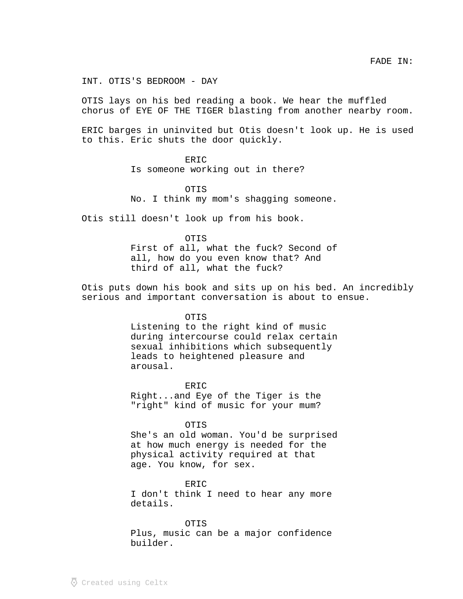INT. OTIS'S BEDROOM - DAY

OTIS lays on his bed reading a book. We hear the muffled chorus of EYE OF THE TIGER blasting from another nearby room.

ERIC barges in uninvited but Otis doesn't look up. He is used to this. Eric shuts the door quickly.

## ERIC

Is someone working out in there?

OTIS No. I think my mom's shagging someone.

Otis still doesn't look up from his book.

OTIS First of all, what the fuck? Second of all, how do you even know that? And third of all, what the fuck?

Otis puts down his book and sits up on his bed. An incredibly serious and important conversation is about to ensue.

## OTIS

Listening to the right kind of music during intercourse could relax certain sexual inhibitions which subsequently leads to heightened pleasure and arousal.

**ERIC** Right...and Eye of the Tiger is the "right" kind of music for your mum?

## OTIS

She's an old woman. You'd be surprised at how much energy is needed for the physical activity required at that age. You know, for sex.

ERIC

I don't think I need to hear any more details.

## OTIS

Plus, music can be a major confidence builder.